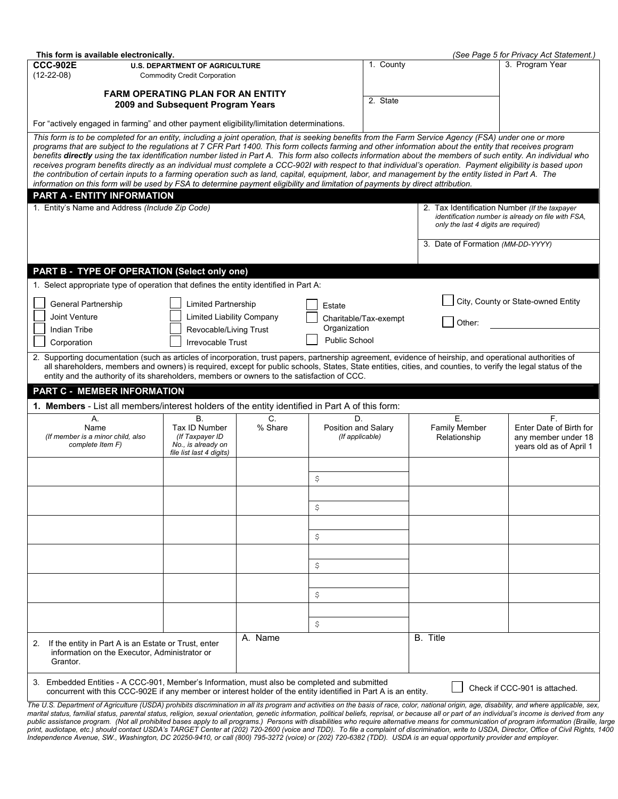| This form is available electronically.                                                                                                                                                                                                                                                                                      |                                       |                  |                     | 1. County             |                                               | (See Page 5 for Privacy Act Statement.)            |
|-----------------------------------------------------------------------------------------------------------------------------------------------------------------------------------------------------------------------------------------------------------------------------------------------------------------------------|---------------------------------------|------------------|---------------------|-----------------------|-----------------------------------------------|----------------------------------------------------|
| <b>CCC-902E</b><br><b>U.S. DEPARTMENT OF AGRICULTURE</b>                                                                                                                                                                                                                                                                    |                                       |                  |                     |                       |                                               | 3. Program Year                                    |
| $(12-22-08)$<br><b>Commodity Credit Corporation</b>                                                                                                                                                                                                                                                                         |                                       |                  |                     |                       |                                               |                                                    |
| <b>FARM OPERATING PLAN FOR AN ENTITY</b>                                                                                                                                                                                                                                                                                    |                                       |                  |                     |                       |                                               |                                                    |
| 2009 and Subsequent Program Years                                                                                                                                                                                                                                                                                           |                                       |                  |                     |                       |                                               |                                                    |
| For "actively engaged in farming" and other payment eligibility/limitation determinations.                                                                                                                                                                                                                                  |                                       |                  |                     |                       |                                               |                                                    |
| This form is to be completed for an entity, including a joint operation, that is seeking benefits from the Farm Service Agency (FSA) under one or more                                                                                                                                                                      |                                       |                  |                     |                       |                                               |                                                    |
| programs that are subject to the regulations at 7 CFR Part 1400. This form collects farming and other information about the entity that receives program<br>benefits directly using the tax identification number listed in Part A. This form also collects information about the members of such entity. An individual who |                                       |                  |                     |                       |                                               |                                                    |
| receives program benefits directly as an individual must complete a CCC-902I with respect to that individual's operation. Payment eligibility is based upon                                                                                                                                                                 |                                       |                  |                     |                       |                                               |                                                    |
| the contribution of certain inputs to a farming operation such as land, capital, equipment, labor, and management by the entity listed in Part A. The<br>information on this form will be used by FSA to determine payment eligibility and limitation of payments by direct attribution.                                    |                                       |                  |                     |                       |                                               |                                                    |
| PART A - ENTITY INFORMATION                                                                                                                                                                                                                                                                                                 |                                       |                  |                     |                       |                                               |                                                    |
| 1. Entity's Name and Address (Include Zip Code)                                                                                                                                                                                                                                                                             |                                       |                  |                     |                       | 2. Tax Identification Number (If the taxpayer |                                                    |
|                                                                                                                                                                                                                                                                                                                             |                                       |                  |                     |                       |                                               | identification number is already on file with FSA, |
|                                                                                                                                                                                                                                                                                                                             |                                       |                  |                     |                       | only the last 4 digits are required)          |                                                    |
|                                                                                                                                                                                                                                                                                                                             |                                       |                  |                     |                       | 3. Date of Formation (MM-DD-YYYY)             |                                                    |
|                                                                                                                                                                                                                                                                                                                             |                                       |                  |                     |                       |                                               |                                                    |
| PART B - TYPE OF OPERATION (Select only one)                                                                                                                                                                                                                                                                                |                                       |                  |                     |                       |                                               |                                                    |
|                                                                                                                                                                                                                                                                                                                             |                                       |                  |                     |                       |                                               |                                                    |
| 1. Select appropriate type of operation that defines the entity identified in Part A:                                                                                                                                                                                                                                       |                                       |                  |                     |                       |                                               |                                                    |
| General Partnership                                                                                                                                                                                                                                                                                                         | Limited Partnership                   |                  | Estate              |                       |                                               | City, County or State-owned Entity                 |
| Joint Venture                                                                                                                                                                                                                                                                                                               | <b>Limited Liability Company</b>      |                  |                     | Charitable/Tax-exempt | Other:                                        |                                                    |
| Indian Tribe                                                                                                                                                                                                                                                                                                                | Revocable/Living Trust                |                  | Organization        |                       |                                               |                                                    |
| Corporation                                                                                                                                                                                                                                                                                                                 | Irrevocable Trust                     |                  | Public School       |                       |                                               |                                                    |
| 2. Supporting documentation (such as articles of incorporation, trust papers, partnership agreement, evidence of heirship, and operational authorities of                                                                                                                                                                   |                                       |                  |                     |                       |                                               |                                                    |
| all shareholders, members and owners) is required, except for public schools, States, State entities, cities, and counties, to verify the legal status of the<br>entity and the authority of its shareholders, members or owners to the satisfaction of CCC.                                                                |                                       |                  |                     |                       |                                               |                                                    |
| <b>PART C - MEMBER INFORMATION</b>                                                                                                                                                                                                                                                                                          |                                       |                  |                     |                       |                                               |                                                    |
| 1. Members - List all members/interest holders of the entity identified in Part A of this form:                                                                                                                                                                                                                             |                                       |                  |                     |                       |                                               |                                                    |
| Α.                                                                                                                                                                                                                                                                                                                          | <b>B.</b>                             | $\overline{C}$ . | D.                  |                       | Ε.                                            | F.                                                 |
| Name                                                                                                                                                                                                                                                                                                                        | Tax ID Number                         | % Share          | Position and Salary |                       | Family Member                                 | Enter Date of Birth for                            |
| (If member is a minor child, also<br>complete Item F)                                                                                                                                                                                                                                                                       | (If Taxpayer ID<br>No., is already on |                  | (If applicable)     |                       | Relationship                                  | any member under 18<br>years old as of April 1     |
|                                                                                                                                                                                                                                                                                                                             | file list last 4 digits)              |                  |                     |                       |                                               |                                                    |
|                                                                                                                                                                                                                                                                                                                             |                                       |                  |                     |                       |                                               |                                                    |
|                                                                                                                                                                                                                                                                                                                             |                                       |                  | \$                  |                       |                                               |                                                    |
|                                                                                                                                                                                                                                                                                                                             |                                       |                  |                     |                       |                                               |                                                    |
|                                                                                                                                                                                                                                                                                                                             |                                       |                  | \$                  |                       |                                               |                                                    |
|                                                                                                                                                                                                                                                                                                                             |                                       |                  |                     |                       |                                               |                                                    |
|                                                                                                                                                                                                                                                                                                                             |                                       |                  | \$                  |                       |                                               |                                                    |
|                                                                                                                                                                                                                                                                                                                             |                                       |                  |                     |                       |                                               |                                                    |
|                                                                                                                                                                                                                                                                                                                             |                                       |                  |                     |                       |                                               |                                                    |
|                                                                                                                                                                                                                                                                                                                             |                                       |                  | \$                  |                       |                                               |                                                    |
|                                                                                                                                                                                                                                                                                                                             |                                       |                  |                     |                       |                                               |                                                    |
|                                                                                                                                                                                                                                                                                                                             |                                       |                  | $\varsigma$         |                       |                                               |                                                    |
|                                                                                                                                                                                                                                                                                                                             |                                       |                  |                     |                       |                                               |                                                    |
|                                                                                                                                                                                                                                                                                                                             |                                       |                  | \$                  |                       |                                               |                                                    |
|                                                                                                                                                                                                                                                                                                                             | A. Name                               |                  |                     | B. Title              |                                               |                                                    |
| If the entity in Part A is an Estate or Trust, enter<br>2.<br>information on the Executor, Administrator or<br>Grantor.                                                                                                                                                                                                     |                                       |                  |                     |                       |                                               |                                                    |
| 3. Embedded Entities - A CCC-901, Member's Information, must also be completed and submitted<br>concurrent with this CCC-902E if any member or interest holder of the entity identified in Part A is an entity.                                                                                                             |                                       |                  |                     |                       |                                               | Check if CCC-901 is attached.                      |

*The U.S. Department of Agriculture (USDA) prohibits discrimination in all its program and activities on the basis of race, color, national origin, age, disability, and where applicable, sex, marital status, familial status, parental status, religion, sexual orientation, genetic information, political beliefs, reprisal, or because all or part of an individual's income is derived from any*  public assistance program. (Not all prohibited bases apply to all programs.) Persons with disabilities who require alternative means for communication of program information (Braille, large *print, audiotape, etc.) should contact USDA's TARGET Center at (202) 720-2600 (voice and TDD). To file a complaint of discrimination, write to USDA, Director, Office of Civil Rights, 1400 Independence Avenue, SW., Washington, DC 20250-9410, or call (800) 795-3272 (voice) or (202) 720-6382 (TDD). USDA is an equal opportunity provider and employer.*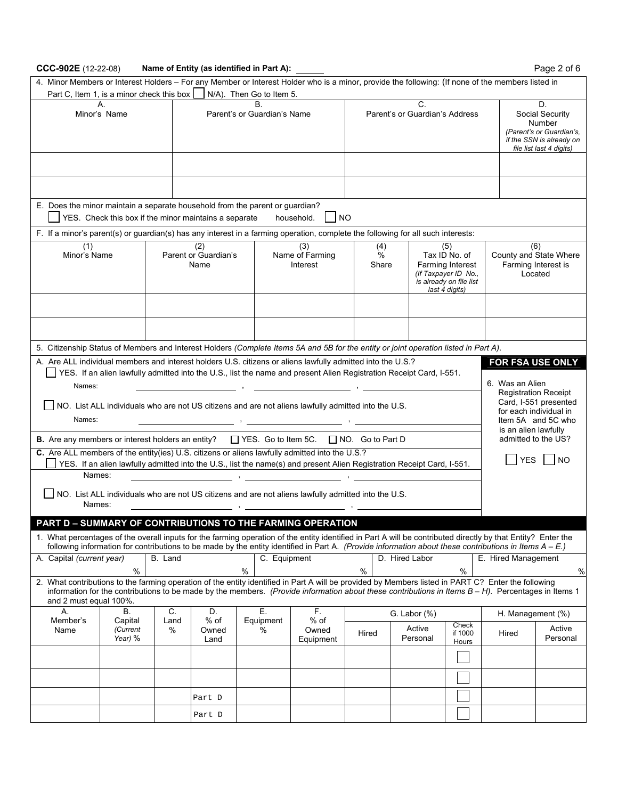# **CCC-902E** (12-22-08) **Name of Entity (as identified in Part A):** 2000 **Page 2 of 6**

| 4. Minor Members or Interest Holders - For any Member or Interest Holder who is a minor, provide the following: (If none of the members listed in             |                                                       |                                                   |                                    |                                |                                                                                                                                                           |                                      |                                                                                                                      |                                                                 |                           |                                                                                                                     |                       |
|---------------------------------------------------------------------------------------------------------------------------------------------------------------|-------------------------------------------------------|---------------------------------------------------|------------------------------------|--------------------------------|-----------------------------------------------------------------------------------------------------------------------------------------------------------|--------------------------------------|----------------------------------------------------------------------------------------------------------------------|-----------------------------------------------------------------|---------------------------|---------------------------------------------------------------------------------------------------------------------|-----------------------|
| Part C, Item 1, is a minor check this box                                                                                                                     |                                                       |                                                   |                                    | N/A). Then Go to Item 5.<br>В. |                                                                                                                                                           |                                      |                                                                                                                      |                                                                 |                           |                                                                                                                     |                       |
| А.<br>Minor's Name                                                                                                                                            |                                                       |                                                   | Parent's or Guardian's Name        |                                |                                                                                                                                                           | C.<br>Parent's or Guardian's Address |                                                                                                                      |                                                                 |                           | D.<br>Social Security<br>Number<br>(Parent's or Guardian's,<br>if the SSN is already on<br>file list last 4 digits) |                       |
|                                                                                                                                                               |                                                       |                                                   |                                    |                                |                                                                                                                                                           |                                      |                                                                                                                      |                                                                 |                           |                                                                                                                     |                       |
|                                                                                                                                                               |                                                       |                                                   |                                    |                                |                                                                                                                                                           |                                      |                                                                                                                      |                                                                 |                           |                                                                                                                     |                       |
|                                                                                                                                                               |                                                       |                                                   |                                    |                                |                                                                                                                                                           |                                      |                                                                                                                      |                                                                 |                           |                                                                                                                     |                       |
| E. Does the minor maintain a separate household from the parent or guardian?                                                                                  | YES. Check this box if the minor maintains a separate |                                                   |                                    |                                | household.                                                                                                                                                | <b>NO</b>                            |                                                                                                                      |                                                                 |                           |                                                                                                                     |                       |
| F. If a minor's parent(s) or guardian(s) has any interest in a farming operation, complete the following for all such interests:                              |                                                       |                                                   |                                    |                                |                                                                                                                                                           |                                      |                                                                                                                      |                                                                 |                           |                                                                                                                     |                       |
| (2)<br>(1)<br>Minor's Name<br>Parent or Guardian's<br>Name                                                                                                    |                                                       |                                                   | (3)<br>Name of Farming<br>Interest |                                | (4)<br>%<br>Share                                                                                                                                         |                                      | (5)<br>Tax ID No. of<br><b>Farming Interest</b><br>(If Taxpayer ID No.,<br>is already on file list<br>last 4 digits) | (6)<br>County and State Where<br>Farming Interest is<br>Located |                           |                                                                                                                     |                       |
|                                                                                                                                                               |                                                       |                                                   |                                    |                                |                                                                                                                                                           |                                      |                                                                                                                      |                                                                 |                           |                                                                                                                     |                       |
|                                                                                                                                                               |                                                       |                                                   |                                    |                                |                                                                                                                                                           |                                      |                                                                                                                      |                                                                 |                           |                                                                                                                     |                       |
| 5. Citizenship Status of Members and Interest Holders (Complete Items 5A and 5B for the entity or joint operation listed in Part A).                          |                                                       |                                                   |                                    |                                |                                                                                                                                                           |                                      |                                                                                                                      |                                                                 |                           |                                                                                                                     |                       |
| A. Are ALL individual members and interest holders U.S. citizens or aliens lawfully admitted into the U.S.?                                                   |                                                       |                                                   |                                    |                                |                                                                                                                                                           |                                      |                                                                                                                      |                                                                 |                           | FOR FSA USE ONLY                                                                                                    |                       |
|                                                                                                                                                               |                                                       |                                                   |                                    |                                | YES. If an alien lawfully admitted into the U.S., list the name and present Alien Registration Receipt Card, I-551.                                       |                                      |                                                                                                                      |                                                                 |                           | 6. Was an Alien                                                                                                     |                       |
| Names:                                                                                                                                                        |                                                       |                                                   |                                    |                                |                                                                                                                                                           |                                      |                                                                                                                      |                                                                 |                           | <b>Registration Receipt</b>                                                                                         |                       |
|                                                                                                                                                               |                                                       |                                                   |                                    |                                | NO. List ALL individuals who are not US citizens and are not aliens lawfully admitted into the U.S.                                                       |                                      |                                                                                                                      |                                                                 |                           | for each individual in                                                                                              | Card, I-551 presented |
| Names:                                                                                                                                                        |                                                       |                                                   |                                    |                                |                                                                                                                                                           |                                      |                                                                                                                      |                                                                 |                           |                                                                                                                     | Item 5A and 5C who    |
| <b>B.</b> Are any members or interest holders an entity?                                                                                                      |                                                       |                                                   |                                    | $\Box$ YES. Go to Item 5C.     |                                                                                                                                                           | $\Box$ NO. Go to Part D              |                                                                                                                      |                                                                 |                           | is an alien lawfully<br>admitted to the US?                                                                         |                       |
| C. Are ALL members of the entity(ies) U.S. citizens or aliens lawfully admitted into the U.S.?                                                                |                                                       |                                                   |                                    |                                |                                                                                                                                                           |                                      |                                                                                                                      |                                                                 |                           |                                                                                                                     |                       |
|                                                                                                                                                               |                                                       |                                                   |                                    |                                | YES. If an alien lawfully admitted into the U.S., list the name(s) and present Alien Registration Receipt Card, I-551.                                    |                                      |                                                                                                                      |                                                                 |                           | <b>YES</b>                                                                                                          | NO.                   |
| Names:                                                                                                                                                        |                                                       |                                                   |                                    |                                |                                                                                                                                                           |                                      |                                                                                                                      |                                                                 |                           |                                                                                                                     |                       |
|                                                                                                                                                               |                                                       |                                                   |                                    |                                | NO. List ALL individuals who are not US citizens and are not aliens lawfully admitted into the U.S.                                                       |                                      |                                                                                                                      |                                                                 |                           |                                                                                                                     |                       |
| Names:                                                                                                                                                        |                                                       |                                                   |                                    |                                |                                                                                                                                                           |                                      |                                                                                                                      |                                                                 |                           |                                                                                                                     |                       |
| PART D - SUMMARY OF CONTRIBUTIONS TO THE FARMING OPERATION                                                                                                    |                                                       |                                                   |                                    |                                |                                                                                                                                                           |                                      |                                                                                                                      |                                                                 |                           |                                                                                                                     |                       |
| 1. What percentages of the overall inputs for the farming operation of the entity identified in Part A will be contributed directly by that Entity? Enter the |                                                       |                                                   |                                    |                                | following information for contributions to be made by the entity identified in Part A. (Provide information about these contributions in Items $A - E$ .) |                                      |                                                                                                                      |                                                                 |                           |                                                                                                                     |                       |
| A. Capital (current year)                                                                                                                                     |                                                       | B. Land                                           |                                    |                                | C. Equipment                                                                                                                                              |                                      | D. Hired Labor                                                                                                       |                                                                 |                           | E. Hired Management                                                                                                 |                       |
| 2. What contributions to the farming operation of the entity identified in Part A will be provided by Members listed in PART C? Enter the following           | $\%$                                                  |                                                   |                                    | $\%$                           |                                                                                                                                                           | $\%$                                 |                                                                                                                      |                                                                 | $\%$                      |                                                                                                                     | $\frac{0}{0}$         |
| and 2 must equal 100%.                                                                                                                                        |                                                       |                                                   |                                    |                                | information for the contributions to be made by the members. (Provide information about these contributions in Items $B - H$ ). Percentages in Items 1    |                                      |                                                                                                                      |                                                                 |                           |                                                                                                                     |                       |
| А.<br>Member's                                                                                                                                                | В.<br>Capital                                         | C.<br>D.<br>Е.<br>F.<br>% of<br>Land<br>Equipment |                                    |                                | $%$ of                                                                                                                                                    | G. Labor $(\%)$                      |                                                                                                                      |                                                                 |                           | H. Management (%)                                                                                                   |                       |
| Name                                                                                                                                                          | (Current<br>Year) %                                   | %                                                 | Owned<br>Land                      | %                              | Owned<br>Equipment                                                                                                                                        | Hired                                |                                                                                                                      | Active<br>Personal                                              | Check<br>if 1000<br>Hours | Hired                                                                                                               | Active<br>Personal    |
|                                                                                                                                                               |                                                       |                                                   |                                    |                                |                                                                                                                                                           |                                      |                                                                                                                      |                                                                 |                           |                                                                                                                     |                       |
|                                                                                                                                                               |                                                       |                                                   |                                    |                                |                                                                                                                                                           |                                      |                                                                                                                      |                                                                 |                           |                                                                                                                     |                       |
|                                                                                                                                                               |                                                       |                                                   |                                    |                                |                                                                                                                                                           |                                      |                                                                                                                      |                                                                 |                           |                                                                                                                     |                       |
|                                                                                                                                                               |                                                       |                                                   | Part D                             |                                |                                                                                                                                                           |                                      |                                                                                                                      |                                                                 |                           |                                                                                                                     |                       |
|                                                                                                                                                               |                                                       |                                                   | Part D                             |                                |                                                                                                                                                           |                                      |                                                                                                                      |                                                                 |                           |                                                                                                                     |                       |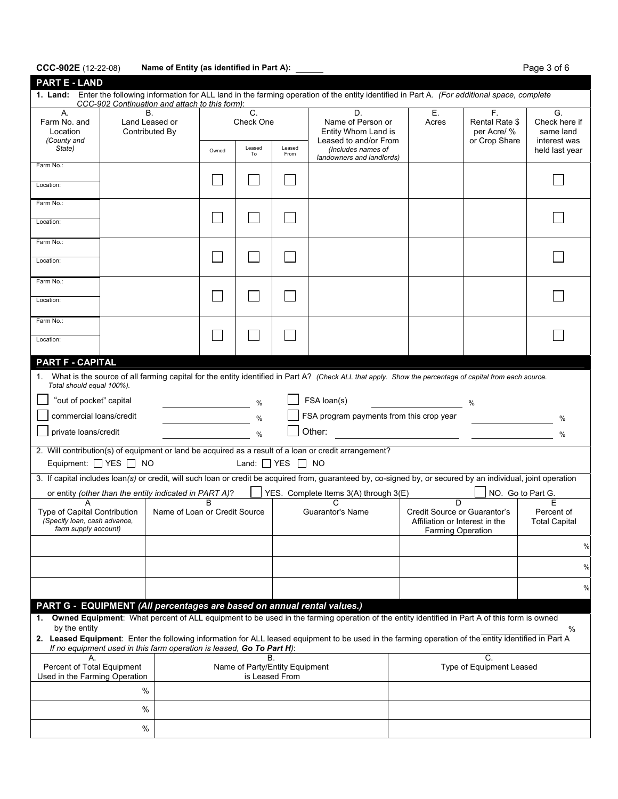## CCC-902E (12-22-08) Name of Entity (as identified in Part A): **Page 3 of 6** Page 3 of 6

| <b>PART E - LAND</b>                                                                                                                                                                                 |                                                                                                                                                                                                                               |                 |                                                                                                         |                            |                                                                         |                                    |                                                      |                                                  |
|------------------------------------------------------------------------------------------------------------------------------------------------------------------------------------------------------|-------------------------------------------------------------------------------------------------------------------------------------------------------------------------------------------------------------------------------|-----------------|---------------------------------------------------------------------------------------------------------|----------------------------|-------------------------------------------------------------------------|------------------------------------|------------------------------------------------------|--------------------------------------------------|
| 1. Land: Enter the following information for ALL land in the farming operation of the entity identified in Part A. (For additional space, complete<br>CCC-902 Continuation and attach to this form): |                                                                                                                                                                                                                               |                 |                                                                                                         |                            |                                                                         |                                    |                                                      |                                                  |
| А.<br>Farm No. and<br>Location<br>(County and                                                                                                                                                        | В.<br>Land Leased or<br>Contributed By                                                                                                                                                                                        | C.<br>Check One |                                                                                                         |                            | D.<br>Name of Person or<br>Entity Whom Land is<br>Leased to and/or From | Ε.<br>Acres                        | F.<br>Rental Rate \$<br>per Acre/ %<br>or Crop Share | G.<br>Check here if<br>same land<br>interest was |
| State)                                                                                                                                                                                               |                                                                                                                                                                                                                               | Owned           | Leased<br>To                                                                                            | Leased<br>From             | (Includes names of<br>landowners and landlords)                         |                                    |                                                      | held last year                                   |
| Farm No.:<br>Location:                                                                                                                                                                               |                                                                                                                                                                                                                               |                 |                                                                                                         |                            |                                                                         |                                    |                                                      |                                                  |
| Farm No.:                                                                                                                                                                                            |                                                                                                                                                                                                                               |                 |                                                                                                         |                            |                                                                         |                                    |                                                      |                                                  |
| Location:                                                                                                                                                                                            |                                                                                                                                                                                                                               |                 |                                                                                                         |                            |                                                                         |                                    |                                                      |                                                  |
| Farm No.:<br>Location:                                                                                                                                                                               |                                                                                                                                                                                                                               |                 |                                                                                                         |                            |                                                                         |                                    |                                                      |                                                  |
|                                                                                                                                                                                                      |                                                                                                                                                                                                                               |                 |                                                                                                         |                            |                                                                         |                                    |                                                      |                                                  |
| Farm No.:<br>Location:                                                                                                                                                                               |                                                                                                                                                                                                                               |                 |                                                                                                         |                            |                                                                         |                                    |                                                      |                                                  |
| Farm No.:                                                                                                                                                                                            |                                                                                                                                                                                                                               |                 |                                                                                                         |                            |                                                                         |                                    |                                                      |                                                  |
| Location:                                                                                                                                                                                            |                                                                                                                                                                                                                               |                 |                                                                                                         |                            |                                                                         |                                    |                                                      |                                                  |
| <b>PART F - CAPITAL</b>                                                                                                                                                                              |                                                                                                                                                                                                                               |                 |                                                                                                         |                            |                                                                         |                                    |                                                      |                                                  |
| Total should equal 100%).                                                                                                                                                                            | 1. What is the source of all farming capital for the entity identified in Part A? (Check ALL that apply. Show the percentage of capital from each source.                                                                     |                 |                                                                                                         |                            |                                                                         |                                    |                                                      |                                                  |
| "out of pocket" capital                                                                                                                                                                              |                                                                                                                                                                                                                               |                 | $\%$                                                                                                    |                            | FSA loan(s)                                                             |                                    | %                                                    |                                                  |
| commercial loans/credit<br>FSA program payments from this crop year<br>%                                                                                                                             |                                                                                                                                                                                                                               |                 |                                                                                                         |                            |                                                                         |                                    |                                                      | %                                                |
| Other:<br>private loans/credit<br>$\%$                                                                                                                                                               |                                                                                                                                                                                                                               |                 |                                                                                                         |                            |                                                                         |                                    |                                                      | %                                                |
|                                                                                                                                                                                                      | 2. Will contribution(s) of equipment or land be acquired as a result of a loan or credit arrangement?<br>Equipment: $\Box$ YES $\Box$ NO                                                                                      |                 |                                                                                                         | Land: $\Box$ YES $\Box$ NO |                                                                         |                                    |                                                      |                                                  |
|                                                                                                                                                                                                      | 3. If capital includes loan(s) or credit, will such loan or credit be acquired from, guaranteed by, co-signed by, or secured by an individual, joint operation                                                                |                 |                                                                                                         |                            |                                                                         |                                    |                                                      |                                                  |
| А                                                                                                                                                                                                    | or entity (other than the entity indicated in PART A)?                                                                                                                                                                        | B               |                                                                                                         |                            | YES. Complete Items 3(A) through 3(E)<br>C                              | D                                  | NO. Go to Part G.                                    | Е                                                |
| Name of Loan or Credit Source<br><b>Type of Capital Contribution</b><br>(Specify loan, cash advance,<br>farm supply account)                                                                         |                                                                                                                                                                                                                               |                 | Guarantor's Name<br>Credit Source or Guarantor's<br>Affiliation or Interest in the<br>Farming Operation |                            |                                                                         | Percent of<br><b>Total Capital</b> |                                                      |                                                  |
|                                                                                                                                                                                                      |                                                                                                                                                                                                                               |                 |                                                                                                         |                            |                                                                         |                                    |                                                      | $\%$                                             |
|                                                                                                                                                                                                      |                                                                                                                                                                                                                               |                 |                                                                                                         |                            |                                                                         |                                    |                                                      | %                                                |
|                                                                                                                                                                                                      |                                                                                                                                                                                                                               |                 |                                                                                                         |                            |                                                                         |                                    |                                                      | %                                                |
|                                                                                                                                                                                                      | PART G - EQUIPMENT (All percentages are based on annual rental values.)                                                                                                                                                       |                 |                                                                                                         |                            |                                                                         |                                    |                                                      |                                                  |
| by the entity                                                                                                                                                                                        | 1. Owned Equipment: What percent of ALL equipment to be used in the farming operation of the entity identified in Part A of this form is owned                                                                                |                 |                                                                                                         |                            |                                                                         |                                    |                                                      | %                                                |
|                                                                                                                                                                                                      | 2. Leased Equipment: Enter the following information for ALL leased equipment to be used in the farming operation of the entity identified in Part A<br>If no equipment used in this farm operation is leased, Go To Part H): |                 |                                                                                                         |                            |                                                                         |                                    |                                                      |                                                  |
| В.<br>А.<br>Percent of Total Equipment<br>Name of Party/Entity Equipment<br>Used in the Farming Operation<br>is Leased From                                                                          |                                                                                                                                                                                                                               |                 |                                                                                                         |                            | C.<br>Type of Equipment Leased                                          |                                    |                                                      |                                                  |
|                                                                                                                                                                                                      | $\%$                                                                                                                                                                                                                          |                 |                                                                                                         |                            |                                                                         |                                    |                                                      |                                                  |
|                                                                                                                                                                                                      | %                                                                                                                                                                                                                             |                 |                                                                                                         |                            |                                                                         |                                    |                                                      |                                                  |
|                                                                                                                                                                                                      | %                                                                                                                                                                                                                             |                 |                                                                                                         |                            |                                                                         |                                    |                                                      |                                                  |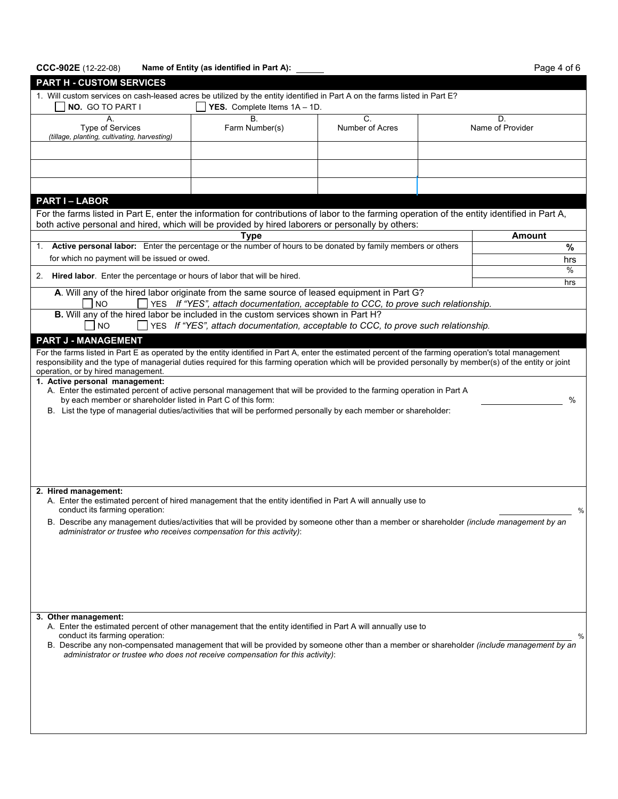# CCC-902E (12-22-08) Name of Entity (as identified in Part A): **Page 4 of 6** Page 4 of 6

| <b>PART H - CUSTOM SERVICES</b>                                                                                                                                                                                                                                                                                      |                                                                                    |  |               |          |  |  |  |
|----------------------------------------------------------------------------------------------------------------------------------------------------------------------------------------------------------------------------------------------------------------------------------------------------------------------|------------------------------------------------------------------------------------|--|---------------|----------|--|--|--|
| 1. Will custom services on cash-leased acres be utilized by the entity identified in Part A on the farms listed in Part E?<br>NO. GO TO PART I                                                                                                                                                                       | <b>YES.</b> Complete Items $1A - 1D$ .                                             |  |               |          |  |  |  |
| А.<br>Type of Services<br>(tillage, planting, cultivating, harvesting)                                                                                                                                                                                                                                               | C.<br><b>B.</b><br>D.<br>Name of Provider<br>Farm Number(s)<br>Number of Acres     |  |               |          |  |  |  |
|                                                                                                                                                                                                                                                                                                                      |                                                                                    |  |               |          |  |  |  |
|                                                                                                                                                                                                                                                                                                                      |                                                                                    |  |               |          |  |  |  |
|                                                                                                                                                                                                                                                                                                                      |                                                                                    |  |               |          |  |  |  |
| <b>PART I-LABOR</b>                                                                                                                                                                                                                                                                                                  |                                                                                    |  |               |          |  |  |  |
| For the farms listed in Part E, enter the information for contributions of labor to the farming operation of the entity identified in Part A,<br>both active personal and hired, which will be provided by hired laborers or personally by others:                                                                   |                                                                                    |  |               |          |  |  |  |
|                                                                                                                                                                                                                                                                                                                      | <b>Type</b>                                                                        |  | <b>Amount</b> |          |  |  |  |
| Active personal labor: Enter the percentage or the number of hours to be donated by family members or others<br>1.                                                                                                                                                                                                   |                                                                                    |  |               | $\%$     |  |  |  |
| for which no payment will be issued or owed.                                                                                                                                                                                                                                                                         |                                                                                    |  |               | hrs<br>% |  |  |  |
| Hired labor. Enter the percentage or hours of labor that will be hired.<br>2.                                                                                                                                                                                                                                        |                                                                                    |  |               | hrs      |  |  |  |
| A. Will any of the hired labor originate from the same source of leased equipment in Part G?                                                                                                                                                                                                                         |                                                                                    |  |               |          |  |  |  |
| <b>NO</b><br>B. Will any of the hired labor be included in the custom services shown in Part H?                                                                                                                                                                                                                      | YES If "YES", attach documentation, acceptable to CCC, to prove such relationship. |  |               |          |  |  |  |
| <b>NO</b>                                                                                                                                                                                                                                                                                                            | YES If "YES", attach documentation, acceptable to CCC, to prove such relationship. |  |               |          |  |  |  |
| <b>PART J - MANAGEMENT</b>                                                                                                                                                                                                                                                                                           |                                                                                    |  |               |          |  |  |  |
| For the farms listed in Part E as operated by the entity identified in Part A, enter the estimated percent of the farming operation's total management<br>responsibility and the type of managerial duties required for this farming operation which will be provided personally by member(s) of the entity or joint |                                                                                    |  |               |          |  |  |  |
| operation, or by hired management.                                                                                                                                                                                                                                                                                   |                                                                                    |  |               |          |  |  |  |
| 1. Active personal management:<br>A. Enter the estimated percent of active personal management that will be provided to the farming operation in Part A                                                                                                                                                              |                                                                                    |  |               |          |  |  |  |
| by each member or shareholder listed in Part C of this form:                                                                                                                                                                                                                                                         |                                                                                    |  |               | $\%$     |  |  |  |
| B. List the type of managerial duties/activities that will be performed personally by each member or shareholder:                                                                                                                                                                                                    |                                                                                    |  |               |          |  |  |  |
|                                                                                                                                                                                                                                                                                                                      |                                                                                    |  |               |          |  |  |  |
|                                                                                                                                                                                                                                                                                                                      |                                                                                    |  |               |          |  |  |  |
|                                                                                                                                                                                                                                                                                                                      |                                                                                    |  |               |          |  |  |  |
|                                                                                                                                                                                                                                                                                                                      |                                                                                    |  |               |          |  |  |  |
| 2. Hired management:                                                                                                                                                                                                                                                                                                 |                                                                                    |  |               |          |  |  |  |
| A. Enter the estimated percent of hired management that the entity identified in Part A will annually use to<br>conduct its farming operation:                                                                                                                                                                       |                                                                                    |  |               | %        |  |  |  |
| B. Describe any management duties/activities that will be provided by someone other than a member or shareholder (include management by an                                                                                                                                                                           |                                                                                    |  |               |          |  |  |  |
| administrator or trustee who receives compensation for this activity):                                                                                                                                                                                                                                               |                                                                                    |  |               |          |  |  |  |
|                                                                                                                                                                                                                                                                                                                      |                                                                                    |  |               |          |  |  |  |
|                                                                                                                                                                                                                                                                                                                      |                                                                                    |  |               |          |  |  |  |
|                                                                                                                                                                                                                                                                                                                      |                                                                                    |  |               |          |  |  |  |
|                                                                                                                                                                                                                                                                                                                      |                                                                                    |  |               |          |  |  |  |
| 3. Other management:                                                                                                                                                                                                                                                                                                 |                                                                                    |  |               |          |  |  |  |
| A. Enter the estimated percent of other management that the entity identified in Part A will annually use to<br>conduct its farming operation:                                                                                                                                                                       |                                                                                    |  |               | ℅        |  |  |  |
| B. Describe any non-compensated management that will be provided by someone other than a member or shareholder (include management by an                                                                                                                                                                             |                                                                                    |  |               |          |  |  |  |
| administrator or trustee who does not receive compensation for this activity):                                                                                                                                                                                                                                       |                                                                                    |  |               |          |  |  |  |
|                                                                                                                                                                                                                                                                                                                      |                                                                                    |  |               |          |  |  |  |
|                                                                                                                                                                                                                                                                                                                      |                                                                                    |  |               |          |  |  |  |
|                                                                                                                                                                                                                                                                                                                      |                                                                                    |  |               |          |  |  |  |
|                                                                                                                                                                                                                                                                                                                      |                                                                                    |  |               |          |  |  |  |
|                                                                                                                                                                                                                                                                                                                      |                                                                                    |  |               |          |  |  |  |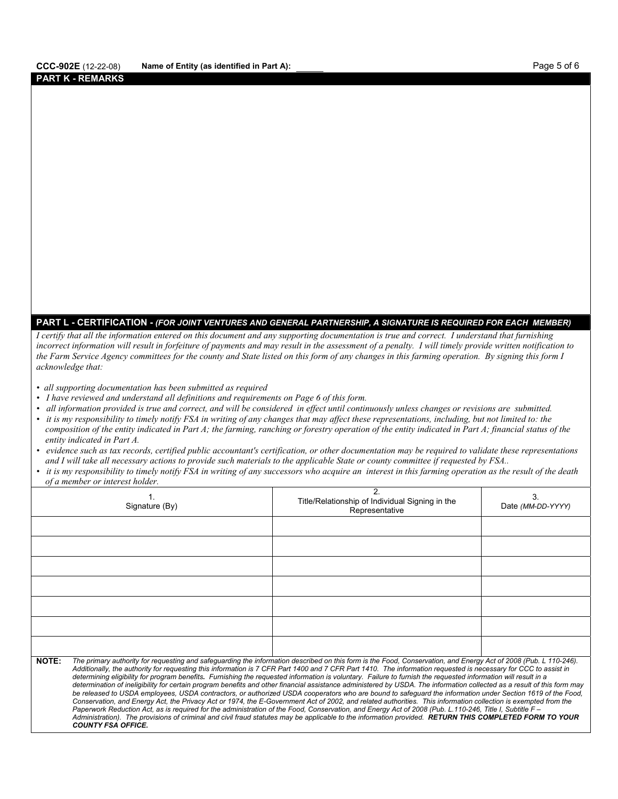#### **PART K - REMARKS**

## **PART L - CERTIFICATION -** *(FOR JOINT VENTURES AND GENERAL PARTNERSHIP, A SIGNATURE IS REQUIRED FOR EACH MEMBER)*

*I certify that all the information entered on this document and any supporting documentation is true and correct. I understand that furnishing incorrect information will result in forfeiture of payments and may result in the assessment of a penalty. I will timely provide written notification to the Farm Service Agency committees for the county and State listed on this form of any changes in this farming operation. By signing this form I acknowledge that:* 

- *all supporting documentation has been submitted as required*
- *I have reviewed and understand all definitions and requirements on Page 6 of this form.*
- *all information provided is true and correct, and will be considered in effect until continuously unless changes or revisions are submitted.*
- *it is my responsibility to timely notify FSA in writing of any changes that may affect these representations, including, but not limited to: the composition of the entity indicated in Part A; the farming, ranching or forestry operation of the entity indicated in Part A; financial status of the entity indicated in Part A.*
- *evidence such as tax records, certified public accountant's certification, or other documentation may be required to validate these representations and I will take all necessary actions to provide such materials to the applicable State or county committee if requested by FSA..*
- *it is my responsibility to timely notify FSA in writing of any successors who acquire an interest in this farming operation as the result of the death of a member or interest holder.*

|              | Signature (By)                                                                                                                                                                                                                                                                                                                                                                                                                                                                                                                                                                                                                                                                                                                                                                                                                                                                                                                                                                                                                                                                                                                                                                                                                                                                                                                                                     | Title/Relationship of Individual Signing in the<br>Representative | Date (MM-DD-YYYY) |  |  |  |  |
|--------------|--------------------------------------------------------------------------------------------------------------------------------------------------------------------------------------------------------------------------------------------------------------------------------------------------------------------------------------------------------------------------------------------------------------------------------------------------------------------------------------------------------------------------------------------------------------------------------------------------------------------------------------------------------------------------------------------------------------------------------------------------------------------------------------------------------------------------------------------------------------------------------------------------------------------------------------------------------------------------------------------------------------------------------------------------------------------------------------------------------------------------------------------------------------------------------------------------------------------------------------------------------------------------------------------------------------------------------------------------------------------|-------------------------------------------------------------------|-------------------|--|--|--|--|
|              |                                                                                                                                                                                                                                                                                                                                                                                                                                                                                                                                                                                                                                                                                                                                                                                                                                                                                                                                                                                                                                                                                                                                                                                                                                                                                                                                                                    |                                                                   |                   |  |  |  |  |
|              |                                                                                                                                                                                                                                                                                                                                                                                                                                                                                                                                                                                                                                                                                                                                                                                                                                                                                                                                                                                                                                                                                                                                                                                                                                                                                                                                                                    |                                                                   |                   |  |  |  |  |
|              |                                                                                                                                                                                                                                                                                                                                                                                                                                                                                                                                                                                                                                                                                                                                                                                                                                                                                                                                                                                                                                                                                                                                                                                                                                                                                                                                                                    |                                                                   |                   |  |  |  |  |
|              |                                                                                                                                                                                                                                                                                                                                                                                                                                                                                                                                                                                                                                                                                                                                                                                                                                                                                                                                                                                                                                                                                                                                                                                                                                                                                                                                                                    |                                                                   |                   |  |  |  |  |
|              |                                                                                                                                                                                                                                                                                                                                                                                                                                                                                                                                                                                                                                                                                                                                                                                                                                                                                                                                                                                                                                                                                                                                                                                                                                                                                                                                                                    |                                                                   |                   |  |  |  |  |
|              |                                                                                                                                                                                                                                                                                                                                                                                                                                                                                                                                                                                                                                                                                                                                                                                                                                                                                                                                                                                                                                                                                                                                                                                                                                                                                                                                                                    |                                                                   |                   |  |  |  |  |
|              |                                                                                                                                                                                                                                                                                                                                                                                                                                                                                                                                                                                                                                                                                                                                                                                                                                                                                                                                                                                                                                                                                                                                                                                                                                                                                                                                                                    |                                                                   |                   |  |  |  |  |
| <b>NOTE:</b> | The primary authority for requesting and safeguarding the information described on this form is the Food, Conservation, and Energy Act of 2008 (Pub. L 110-246).<br>Additionally, the authority for requesting this information is 7 CFR Part 1400 and 7 CFR Part 1410. The information requested is necessary for CCC to assist in<br>determining eligibility for program benefits. Furnishing the requested information is voluntary. Failure to furnish the requested information will result in a<br>determination of ineligibility for certain program benefits and other financial assistance administered by USDA. The information collected as a result of this form may<br>be released to USDA employees, USDA contractors, or authorized USDA cooperators who are bound to safeguard the information under Section 1619 of the Food,<br>Conservation, and Energy Act, the Privacy Act or 1974, the E-Government Act of 2002, and related authorities. This information collection is exempted from the<br>Paperwork Reduction Act, as is required for the administration of the Food, Conservation, and Energy Act of 2008 (Pub. L.110-246, Title I, Subtitle F -<br>Administration). The provisions of criminal and civil fraud statutes may be applicable to the information provided. RETURN THIS COMPLETED FORM TO YOUR<br><b>COUNTY FSA OFFICE.</b> |                                                                   |                   |  |  |  |  |